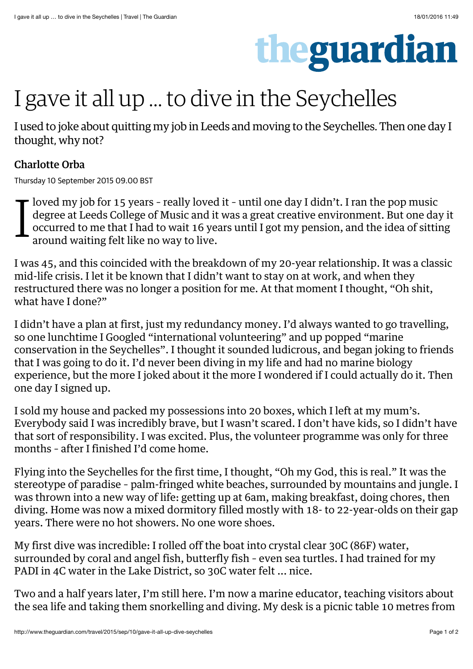

## I gave it all up … to dive in the Seychelles

I used to joke about quitting my job in Leeds and moving to the Seychelles. Then one day I thought, why not?

## Charlotte Orba

Thursday 10 September 2015 09.00 BST

I loved my job for 15 years – really loved it – until one day I didn't. I ran the pop music degree at Leeds College of Music and it was a great creative environment. But one day it occurred to me that I had to wait 16 years until I got my pension, and the idea of sitting around waiting felt like no way to live.

I was 45, and this coincided with the breakdown of my 20-year relationship. It was a classic mid-life crisis. I let it be known that I didn't want to stay on at work, and when they restructured there was no longer a position for me. At that moment I thought, "Oh shit, what have I done?"

I didn't have a plan at first, just my redundancy money. I'd always wanted to go travelling, so one lunchtime I Googled "international volunteering" and up popped "marine conservation in the Seychelles". I thought it sounded ludicrous, and began joking to friends that I was going to do it. I'd never been diving in my life and had no marine biology experience, but the more I joked about it the more I wondered if I could actually do it. Then one day I signed up.

I sold my house and packed my possessions into 20 boxes, which I left at my mum's. Everybody said I was incredibly brave, but I wasn't scared. I don't have kids, so I didn't have that sort of responsibility. I was excited. Plus, the volunteer programme was only for three months – after I finished I'd come home.

Flying into the [Seychelles](http://www.theguardian.com/world/seychelles) for the first time, I thought, "Oh my God, this is real." It was the stereotype of paradise – palm-fringed white beaches, surrounded by mountains and jungle. I was thrown into a new way of life: getting up at 6am, making breakfast, doing chores, then diving. Home was now a mixed dormitory filled mostly with 18- to 22-year-olds on their gap years. There were no hot showers. No one wore shoes.

My first dive was incredible: I rolled off the boat into crystal clear 30C (86F) water, surrounded by coral and angel fish, butterfly fish – even sea turtles. I had trained for my PADI in 4C water in the Lake District, so 30C water felt ... nice.

Two and a half years later, I'm still here. I'm now a [marine educator](http://www.wiseoceans.com/), teaching visitors about the sea life and taking them snorkelling and diving. My desk is a picnic table 10 metres from